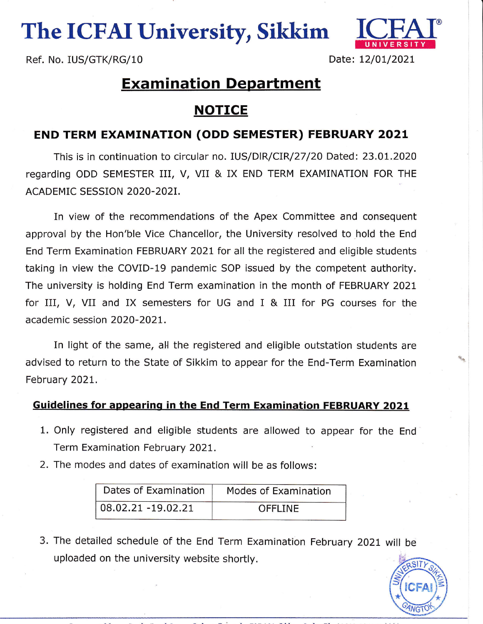The ICFAI University, Sikkim



Ref. No. IUS/GTK/RG/10 Date: 12/01/2021

## **Examination Department**

## NOTICE

## END TERM EXAMTNATTON (ODD SEMESTER) FEBRUARY 2021

This is in continuation to circular no. IUS/DIR/CIR/27/20 Dated: 23.01.2020 regarding ODD SEMESTER III, V, VII & IX END TERM EXAMINATION FOR THE ACADEMIC SESSION 2O2O-202I.

In view of the recommendations of the Apex Committee and consequent approval by the Hon'ble Vice Chancellor, the University resolved to hold the End End Term Examination FEBRUARY 2021 for all the registered and eligible students taking in view the COVID-19 pandemic SOP issued by the competent authority. The university is holding End Term examination in the month of FEBRUARY 202t for III, V, VII and IX semesters for UG and I & III for PG courses for the academic session 2O2O-202L.

In light of the same, all the registered and eligible outstation students are advised to return to the State of Sikkim to appear for the End-Term Examination February 202t.

## Guidelines for appearinq in the End Term Examination FEBRUARY 2021

- 1. Only registered and eligible students are allowed to appear for the End Term Examination February 202L.
- 2. The modes and dates of examination will be as follows:

| Dates of Examination | Modes of Examination |
|----------------------|----------------------|
| 08.02.21 -19.02.21   | <b>OFFLINE</b>       |

3. The detailed schedule of the End Term Examination February 2O2t wlll be uploaded on the university website shortly